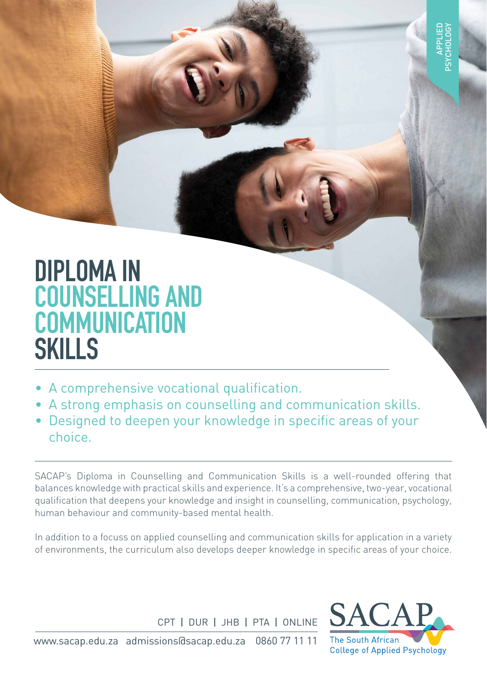# **DIPLOMA IN COUNSELLING AND COMMUNICATION SKILLS**

- A comprehensive vocational qualification.
- A strong emphasis on counselling and communication skills.
- Designed to deepen your knowledge in specific areas of your choice.

SACAP's Diploma in Counselling and Communication Skills is a well-rounded offering that balances knowledge with practical skills and experience. It's a comprehensive, two-year, vocational qualification that deepens your knowledge and insight in counselling, communication, psychology, human behaviour and community-based mental health.

In addition to a focuss on applied counselling and communication skills for application in a variety of environments, the curriculum also develops deeper knowledge in specific areas of your choice.

CPT I DUR I JHB I PTA I ONLINE



www.sacap.edu.za admissions@sacap.edu.za 0860 77 11 11